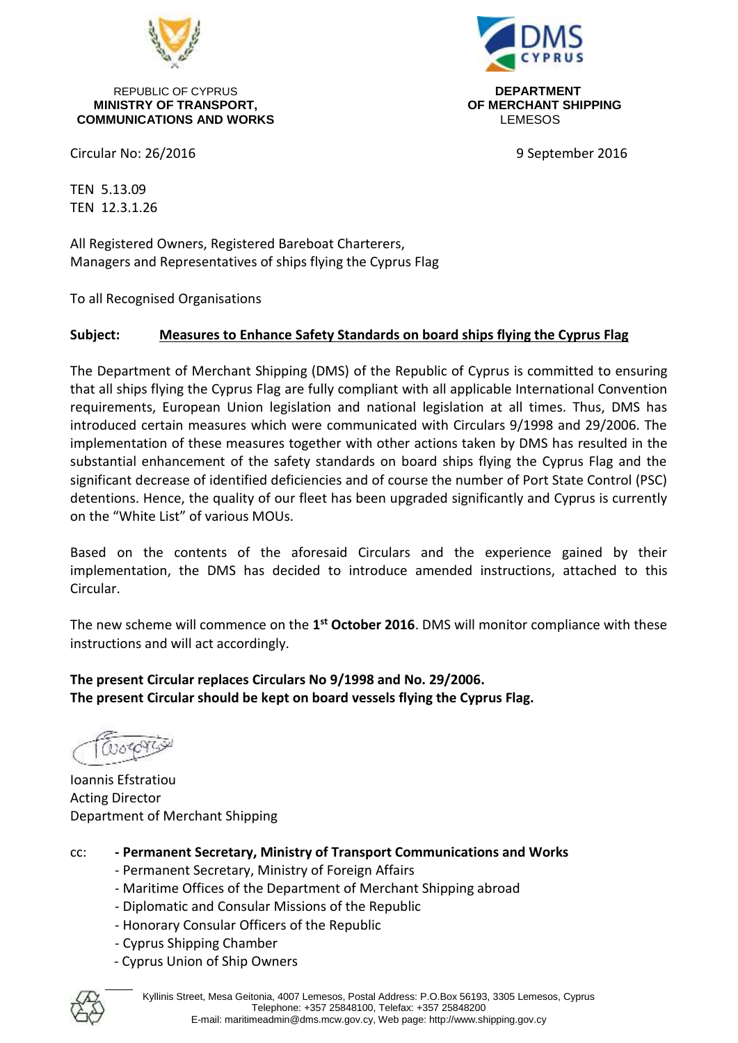

REPUBLIC OF CYPRUS **DEPARTMENT MINISTRY OF TRANSPORT, OF MERCHANT SHIPPING COMMUNICATIONS AND WORKS** LEMESOS



Circular No: 26/2016 **9 September 2016** 

TEN 5.13.09 TEN 12.3.1.26

All Registered Owners, Registered Bareboat Charterers, Managers and Representatives of ships flying the Cyprus Flag

To all Recognised Organisations

#### **Subject: Measures to Enhance Safety Standards on board ships flying the Cyprus Flag**

The Department of Merchant Shipping (DMS) of the Republic of Cyprus is committed to ensuring that all ships flying the Cyprus Flag are fully compliant with all applicable International Convention requirements, European Union legislation and national legislation at all times. Thus, DMS has introduced certain measures which were communicated with Circulars 9/1998 and 29/2006. The implementation of these measures together with other actions taken by DMS has resulted in the substantial enhancement of the safety standards on board ships flying the Cyprus Flag and the significant decrease of identified deficiencies and of course the number of Port State Control (PSC) detentions. Hence, the quality of our fleet has been upgraded significantly and Cyprus is currently on the "White List" of various MOUs.

Based on the contents of the aforesaid Circulars and the experience gained by their implementation, the DMS has decided to introduce amended instructions, attached to this Circular.

The new scheme will commence on the **1 st October 2016**. DMS will monitor compliance with these instructions and will act accordingly.

**The present Circular replaces Circulars No 9/1998 and No. 29/2006. The present Circular should be kept on board vessels flying the Cyprus Flag.**

Ioannis Efstratiou Acting Director Department of Merchant Shipping

- cc: **- Permanent Secretary, Ministry of Transport Communications and Works**
	- Permanent Secretary, Ministry of Foreign Affairs
	- Maritime Offices of the Department of Merchant Shipping abroad
	- Diplomatic and Consular Missions of the Republic
	- Honorary Consular Officers of the Republic
	- Cyprus Shipping Chamber
	- Cyprus Union of Ship Owners

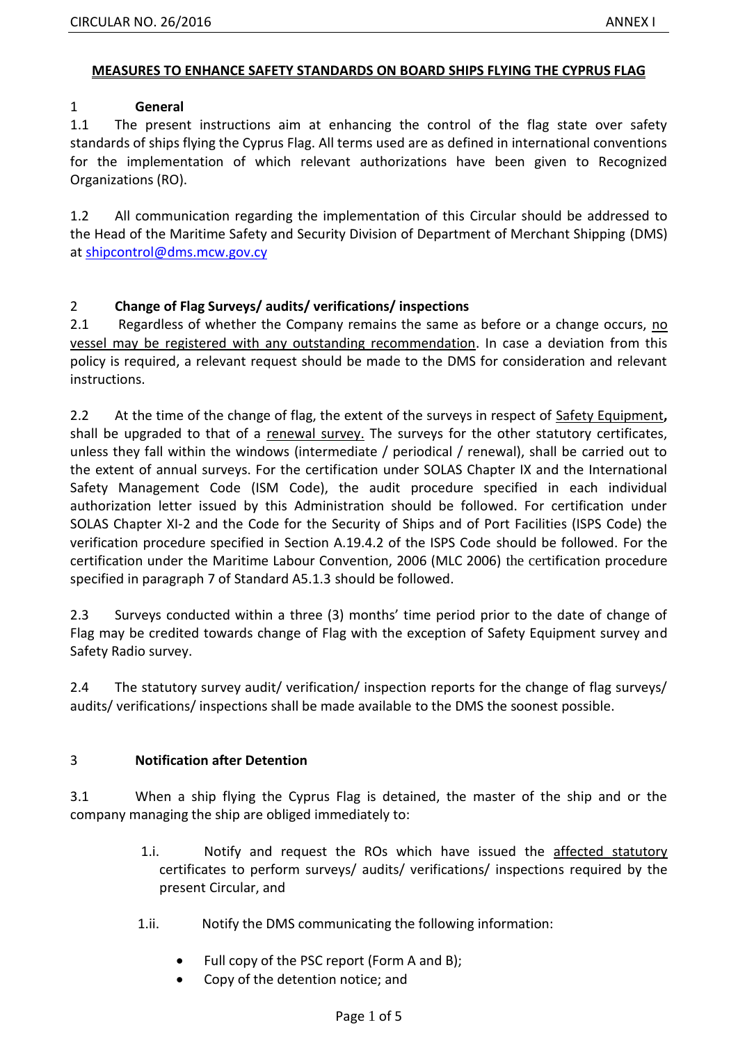### **MEASURES TO ENHANCE SAFETY STANDARDS ON BOARD SHIPS FLYING THE CYPRUS FLAG**

## 1 **General**

1.1 The present instructions aim at enhancing the control of the flag state over safety standards of ships flying the Cyprus Flag. All terms used are as defined in international conventions for the implementation of which relevant authorizations have been given to Recognized Organizations (RO).

1.2 All communication regarding the implementation of this Circular should be addressed to the Head of the Maritime Safety and Security Division of Department of Merchant Shipping (DMS) at [shipcontrol@dms.mcw.gov.cy](mailto:shipcontrol@dms.mcw.gov.cy)

## 2 **Change of Flag Surveys/ audits/ verifications/ inspections**

2.1 Regardless of whether the Company remains the same as before or a change occurs, no vessel may be registered with any outstanding recommendation. In case a deviation from this policy is required, a relevant request should be made to the DMS for consideration and relevant instructions.

2.2 At the time of the change of flag, the extent of the surveys in respect of Safety Equipment**,**  shall be upgraded to that of a renewal survey. The surveys for the other statutory certificates, unless they fall within the windows (intermediate / periodical / renewal), shall be carried out to the extent of annual surveys. For the certification under SOLAS Chapter IX and the International Safety Management Code (ISM Code), the audit procedure specified in each individual authorization letter issued by this Administration should be followed. For certification under SOLAS Chapter XI-2 and the Code for the Security of Ships and of Port Facilities (ISPS Code) the verification procedure specified in Section A.19.4.2 of the ISPS Code should be followed. For the certification under the Maritime Labour Convention, 2006 (MLC 2006) the certification procedure specified in paragraph 7 of Standard A5.1.3 should be followed.

2.3 Surveys conducted within a three (3) months' time period prior to the date of change of Flag may be credited towards change of Flag with the exception of Safety Equipment survey and Safety Radio survey.

2.4 The statutory survey audit/ verification/ inspection reports for the change of flag surveys/ audits/ verifications/ inspections shall be made available to the DMS the soonest possible.

## 3 **Notification after Detention**

3.1 When a ship flying the Cyprus Flag is detained, the master of the ship and or the company managing the ship are obliged immediately to:

- 1.i. Notify and request the ROs which have issued the affected statutory certificates to perform surveys/ audits/ verifications/ inspections required by the present Circular, and
- 1.ii. Notify the DMS communicating the following information:
	- Full copy of the PSC report (Form A and B);
	- Copy of the detention notice; and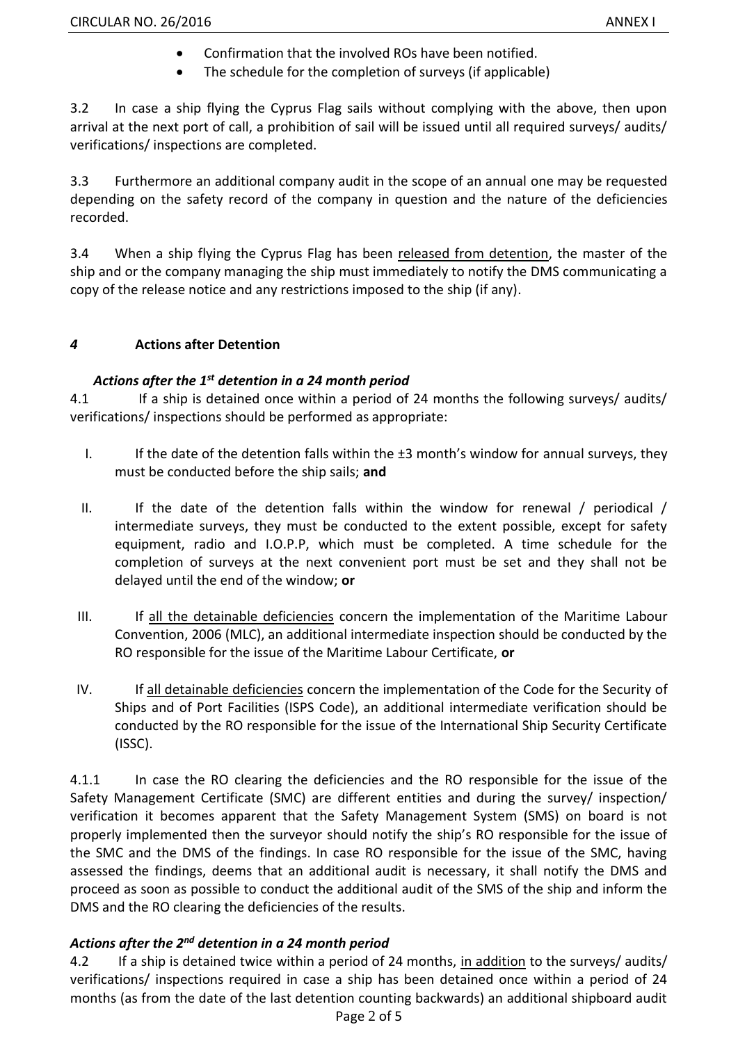- Confirmation that the involved ROs have been notified.
- The schedule for the completion of surveys (if applicable)

3.2 In case a ship flying the Cyprus Flag sails without complying with the above, then upon arrival at the next port of call, a prohibition of sail will be issued until all required surveys/ audits/ verifications/ inspections are completed.

3.3 Furthermore an additional company audit in the scope of an annual one may be requested depending on the safety record of the company in question and the nature of the deficiencies recorded.

3.4 When a ship flying the Cyprus Flag has been released from detention, the master of the ship and or the company managing the ship must immediately to notify the DMS communicating a copy of the release notice and any restrictions imposed to the ship (if any).

## *4* **Actions after Detention**

# *Actions after the 1 st detention in a 24 month period*

4.1 If a ship is detained once within a period of 24 months the following surveys/ audits/ verifications/ inspections should be performed as appropriate:

- I. If the date of the detention falls within the  $\pm 3$  month's window for annual surveys, they must be conducted before the ship sails; **and**
- II. If the date of the detention falls within the window for renewal  $/$  periodical  $/$ intermediate surveys, they must be conducted to the extent possible, except for safety equipment, radio and I.O.P.P, which must be completed. A time schedule for the completion of surveys at the next convenient port must be set and they shall not be delayed until the end of the window; **or**
- III. If all the detainable deficiencies concern the implementation of the Maritime Labour Convention, 2006 (MLC), an additional intermediate inspection should be conducted by the RO responsible for the issue of the Maritime Labour Certificate, **or**
- IV. If all detainable deficiencies concern the implementation of the Code for the Security of Ships and of Port Facilities (ISPS Code), an additional intermediate verification should be conducted by the RO responsible for the issue of the International Ship Security Certificate (ISSC).

4.1.1 In case the RO clearing the deficiencies and the RO responsible for the issue of the Safety Management Certificate (SMC) are different entities and during the survey/ inspection/ verification it becomes apparent that the Safety Management System (SMS) on board is not properly implemented then the surveyor should notify the ship's RO responsible for the issue of the SMC and the DMS of the findings. In case RO responsible for the issue of the SMC, having assessed the findings, deems that an additional audit is necessary, it shall notify the DMS and proceed as soon as possible to conduct the additional audit of the SMS of the ship and inform the DMS and the RO clearing the deficiencies of the results.

# *Actions after the 2nd detention in a 24 month period*

4.2 If a ship is detained twice within a period of 24 months, in addition to the surveys/ audits/ verifications/ inspections required in case a ship has been detained once within a period of 24 months (as from the date of the last detention counting backwards) an additional shipboard audit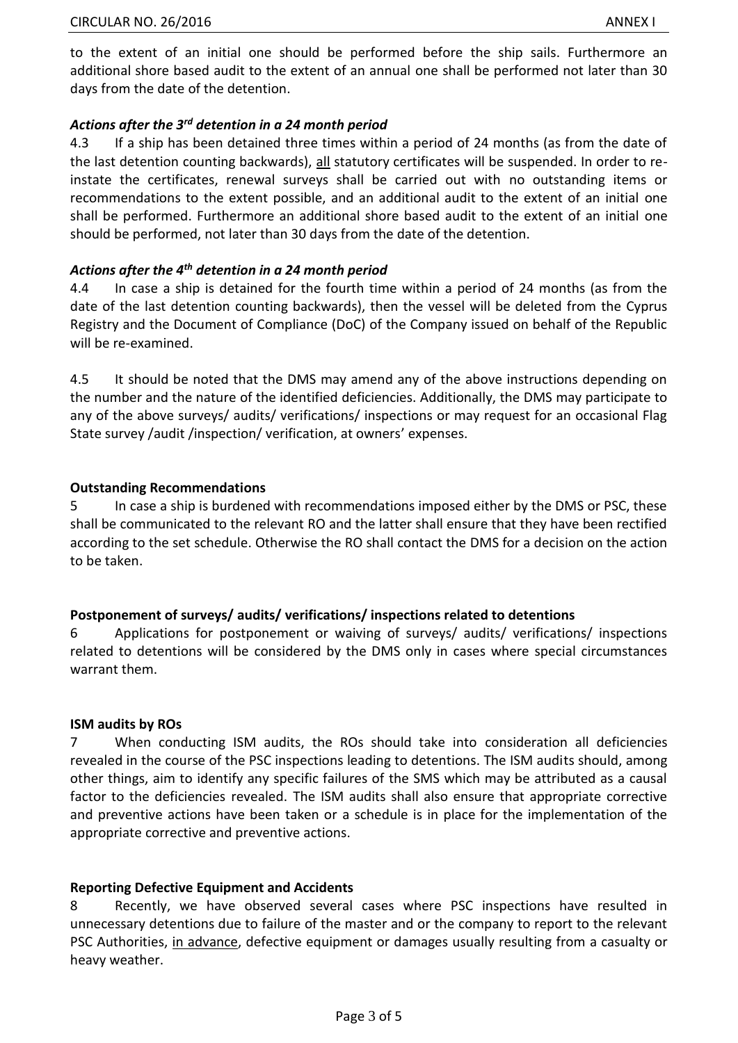to the extent of an initial one should be performed before the ship sails. Furthermore an additional shore based audit to the extent of an annual one shall be performed not later than 30 days from the date of the detention.

## *Actions after the 3rd detention in a 24 month period*

4.3 If a ship has been detained three times within a period of 24 months (as from the date of the last detention counting backwards), all statutory certificates will be suspended. In order to reinstate the certificates, renewal surveys shall be carried out with no outstanding items or recommendations to the extent possible, and an additional audit to the extent of an initial one shall be performed. Furthermore an additional shore based audit to the extent of an initial one should be performed, not later than 30 days from the date of the detention.

## *Actions after the 4th detention in a 24 month period*

4.4 In case a ship is detained for the fourth time within a period of 24 months (as from the date of the last detention counting backwards), then the vessel will be deleted from the Cyprus Registry and the Document of Compliance (DoC) of the Company issued on behalf of the Republic will be re-examined.

4.5 It should be noted that the DMS may amend any of the above instructions depending on the number and the nature of the identified deficiencies. Additionally, the DMS may participate to any of the above surveys/ audits/ verifications/ inspections or may request for an occasional Flag State survey /audit /inspection/ verification, at owners' expenses.

## **Outstanding Recommendations**

5 In case a ship is burdened with recommendations imposed either by the DMS or PSC, these shall be communicated to the relevant RO and the latter shall ensure that they have been rectified according to the set schedule. Otherwise the RO shall contact the DMS for a decision on the action to be taken.

## **Postponement of surveys/ audits/ verifications/ inspections related to detentions**

6 Applications for postponement or waiving of surveys/ audits/ verifications/ inspections related to detentions will be considered by the DMS only in cases where special circumstances warrant them.

## **ISM audits by ROs**

7 When conducting ISM audits, the ROs should take into consideration all deficiencies revealed in the course of the PSC inspections leading to detentions. The ISM audits should, among other things, aim to identify any specific failures of the SMS which may be attributed as a causal factor to the deficiencies revealed. The ISM audits shall also ensure that appropriate corrective and preventive actions have been taken or a schedule is in place for the implementation of the appropriate corrective and preventive actions.

## **Reporting Defective Equipment and Accidents**

8 Recently, we have observed several cases where PSC inspections have resulted in unnecessary detentions due to failure of the master and or the company to report to the relevant PSC Authorities, in advance, defective equipment or damages usually resulting from a casualty or heavy weather.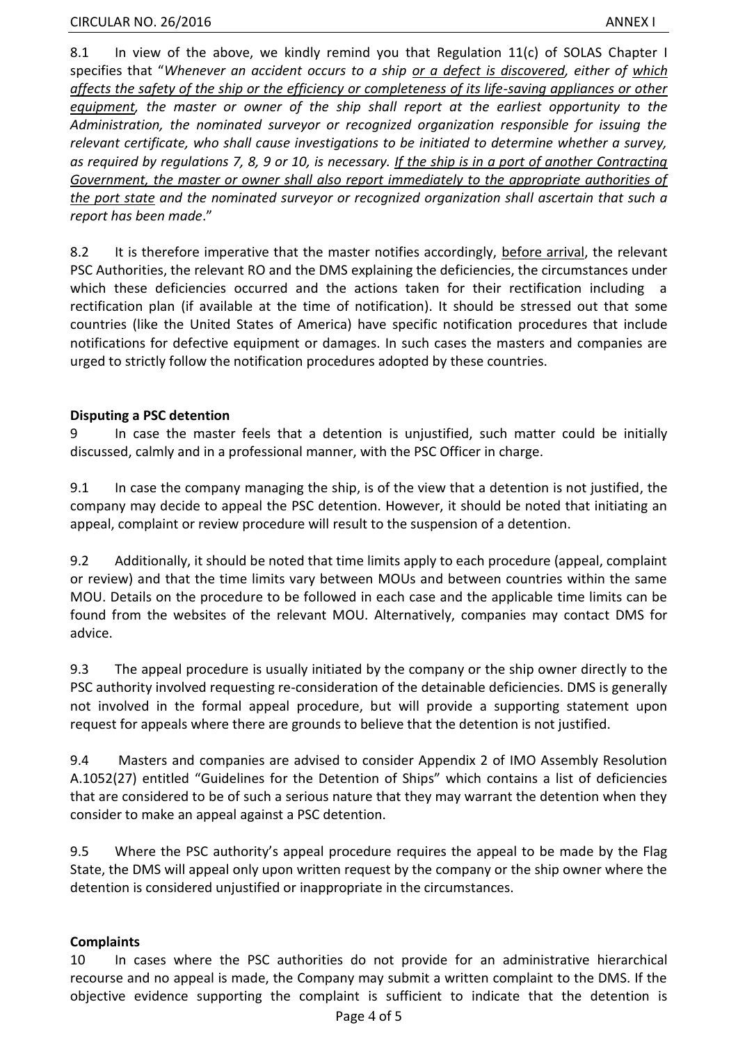8.1 In view of the above, we kindly remind you that Regulation 11(c) of SOLAS Chapter I specifies that "*Whenever an accident occurs to a ship or a defect is discovered, either of which affects the safety of the ship or the efficiency or completeness of its life-saving appliances or other equipment, the master or owner of the ship shall report at the earliest opportunity to the Administration, the nominated surveyor or recognized organization responsible for issuing the relevant certificate, who shall cause investigations to be initiated to determine whether a survey, as required by regulations 7, 8, 9 or 10, is necessary. If the ship is in a port of another Contracting Government, the master or owner shall also report immediately to the appropriate authorities of the port state and the nominated surveyor or recognized organization shall ascertain that such a report has been made*."

8.2 It is therefore imperative that the master notifies accordingly, before arrival, the relevant PSC Authorities, the relevant RO and the DMS explaining the deficiencies, the circumstances under which these deficiencies occurred and the actions taken for their rectification including a rectification plan (if available at the time of notification). It should be stressed out that some countries (like the United States of America) have specific notification procedures that include notifications for defective equipment or damages. In such cases the masters and companies are urged to strictly follow the notification procedures adopted by these countries.

#### **Disputing a PSC detention**

9 In case the master feels that a detention is unjustified, such matter could be initially discussed, calmly and in a professional manner, with the PSC Officer in charge.

9.1 In case the company managing the ship, is of the view that a detention is not justified, the company may decide to appeal the PSC detention. However, it should be noted that initiating an appeal, complaint or review procedure will result to the suspension of a detention.

9.2 Additionally, it should be noted that time limits apply to each procedure (appeal, complaint or review) and that the time limits vary between MOUs and between countries within the same MOU. Details on the procedure to be followed in each case and the applicable time limits can be found from the websites of the relevant MOU. Alternatively, companies may contact DMS for advice.

9.3 The appeal procedure is usually initiated by the company or the ship owner directly to the PSC authority involved requesting re-consideration of the detainable deficiencies. DMS is generally not involved in the formal appeal procedure, but will provide a supporting statement upon request for appeals where there are grounds to believe that the detention is not justified.

9.4 Masters and companies are advised to consider Appendix 2 of IMO Assembly Resolution A.1052(27) entitled "Guidelines for the Detention of Ships" which contains a list of deficiencies that are considered to be of such a serious nature that they may warrant the detention when they consider to make an appeal against a PSC detention.

9.5 Where the PSC authority's appeal procedure requires the appeal to be made by the Flag State, the DMS will appeal only upon written request by the company or the ship owner where the detention is considered unjustified or inappropriate in the circumstances.

## **Complaints**

10 In cases where the PSC authorities do not provide for an administrative hierarchical recourse and no appeal is made, the Company may submit a written complaint to the DMS. If the objective evidence supporting the complaint is sufficient to indicate that the detention is